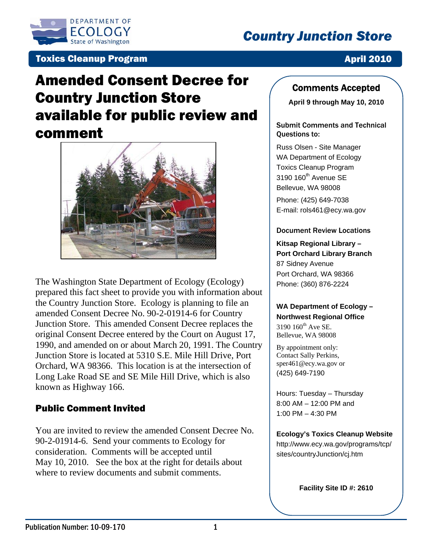

# *Country Junction Store*

### **Toxics Cleanup Program April 2010**

# Amended Consent Decree for Country Junction Store available for public review and comment



The Washington State Department of Ecology (Ecology) prepared this fact sheet to provide you with information about the Country Junction Store. Ecology is planning to file an amended Consent Decree No. 90-2-01914-6 for Country Junction Store. This amended Consent Decree replaces the original Consent Decree entered by the Court on August 17, 1990, and amended on or about March 20, 1991. The Country Junction Store is located at 5310 S.E. Mile Hill Drive, Port Orchard, WA 98366. This location is at the intersection of Long Lake Road SE and SE Mile Hill Drive, which is also known as Highway 166.

### Public Comment Invited

You are invited to review the amended Consent Decree No. 90-2-01914-6. Send your comments to Ecology for consideration. Comments will be accepted until May 10, 2010. See the box at the right for details about where to review documents and submit comments.

#### Comments Accepted

**April 9 through May 10, 2010** 

#### Submit Comments and Technical Questions to:

Russ Olsen - Site Manager WA Department of Ecology Toxics Cleanup Program  $3190 160<sup>th</sup>$  Avenue SE Bellevue, WA 98008 Phone: (425) 649-7038 E-mail: rols461@ecy.wa.gov

#### Document Review Locations

**Kitsap Regional Library – Port Orchard Library Branch**  87 Sidney Avenue Port Orchard, WA 98366 Phone: (360) 876-2224

#### **WA Department of Ecology – Northwest Regional Office**

 $3190 160^{th}$  Ave SE. Bellevue, WA 98008

By appointment only: Contact Sally Perkins, sper461@ecy.wa.gov or (425) 649-7190

Hours: Tuesday – Thursday 8:00 AM – 12:00 PM and 1:00 PM – 4:30 PM

**Ecology's Toxics Cleanup Website** http://www.ecy.wa.gov/programs/tcp/ sites/countryJunction/cj.htm

**Facility Site ID #: 2610**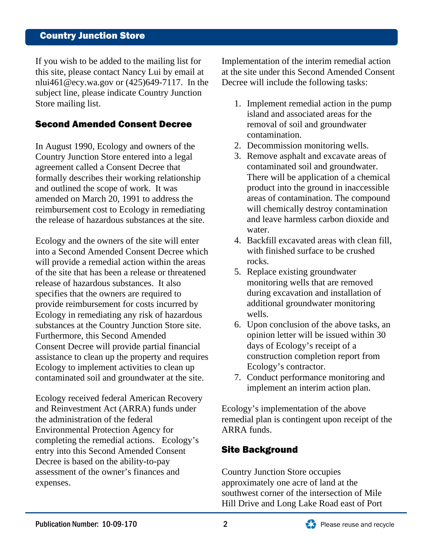## Country Junction Store

If you wish to be added to the mailing list for this site, please contact Nancy Lui by email at nlui461@ecy.wa.gov or (425)649-7117. In the subject line, please indicate Country Junction Store mailing list.

#### Second Amended Consent Decree

In August 1990, Ecology and owners of the Country Junction Store entered into a legal agreement called a Consent Decree that formally describes their working relationship and outlined the scope of work. It was amended on March 20, 1991 to address the reimbursement cost to Ecology in remediating the release of hazardous substances at the site.

Ecology and the owners of the site will enter into a Second Amended Consent Decree which will provide a remedial action within the areas of the site that has been a release or threatened release of hazardous substances. It also specifies that the owners are required to provide reimbursement for costs incurred by Ecology in remediating any risk of hazardous substances at the Country Junction Store site. Furthermore, this Second Amended Consent Decree will provide partial financial assistance to clean up the property and requires Ecology to implement activities to clean up contaminated soil and groundwater at the site.

Ecology received federal American Recovery and Reinvestment Act (ARRA) funds under the administration of the federal Environmental Protection Agency for completing the remedial actions. Ecology's entry into this Second Amended Consent Decree is based on the ability-to-pay assessment of the owner's finances and expenses.

Implementation of the interim remedial action at the site under this Second Amended Consent Decree will include the following tasks:

- 1. Implement remedial action in the pump island and associated areas for the removal of soil and groundwater contamination.
- 2. Decommission monitoring wells.
- 3. Remove asphalt and excavate areas of contaminated soil and groundwater. There will be application of a chemical product into the ground in inaccessible areas of contamination. The compound will chemically destroy contamination and leave harmless carbon dioxide and water.
- 4. Backfill excavated areas with clean fill, with finished surface to be crushed rocks.
- 5. Replace existing groundwater monitoring wells that are removed during excavation and installation of additional groundwater monitoring wells.
- 6. Upon conclusion of the above tasks, an opinion letter will be issued within 30 days of Ecology's receipt of a construction completion report from Ecology's contractor.
- 7. Conduct performance monitoring and implement an interim action plan.

Ecology's implementation of the above remedial plan is contingent upon receipt of the ARRA funds.

### Site Background

Country Junction Store occupies approximately one acre of land at the southwest corner of the intersection of Mile Hill Drive and Long Lake Road east of Port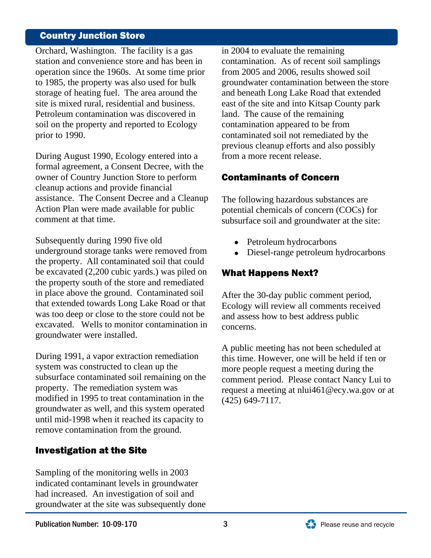## Country Junction Store

Orchard, Washington. The facility is a gas station and convenience store and has been in operation since the 1960s. At some time prior to 1985, the property was also used for bulk storage of heating fuel. The area around the site is mixed rural, residential and business. Petroleum contamination was discovered in soil on the property and reported to Ecology prior to 1990.

During August 1990, Ecology entered into a formal agreement, a Consent Decree, with the owner of Country Junction Store to perform cleanup actions and provide financial assistance. The Consent Decree and a Cleanup Action Plan were made available for public comment at that time.

Subsequently during 1990 five old underground storage tanks were removed from the property. All contaminated soil that could be excavated (2,200 cubic yards.) was piled on the property south of the store and remediated in place above the ground. Contaminated soil that extended towards Long Lake Road or that was too deep or close to the store could not be excavated. Wells to monitor contamination in groundwater were installed.

During 1991, a vapor extraction remediation system was constructed to clean up the subsurface contaminated soil remaining on the property. The remediation system was modified in 1995 to treat contamination in the groundwater as well, and this system operated until mid-1998 when it reached its capacity to remove contamination from the ground.

# Investigation at the Site

Sampling of the monitoring wells in 2003 indicated contaminant levels in groundwater had increased. An investigation of soil and groundwater at the site was subsequently done in 2004 to evaluate the remaining contamination. As of recent soil samplings from 2005 and 2006, results showed soil groundwater contamination between the store and beneath Long Lake Road that extended east of the site and into Kitsap County park land. The cause of the remaining contamination appeared to be from contaminated soil not remediated by the previous cleanup efforts and also possibly from a more recent release.

# Contaminants of Concern

The following hazardous substances are potential chemicals of concern (COCs) for subsurface soil and groundwater at the site:

- Petroleum hydrocarbons
- Diesel-range petroleum hydrocarbons

# What Happens Next?

After the 30-day public comment period, Ecology will review all comments received and assess how to best address public concerns.

A public meeting has not been scheduled at this time. However, one will be held if ten or more people request a meeting during the comment period. Please contact Nancy Lui to request a meeting at nlui461@ecy.wa.gov or at (425) 649-7117.